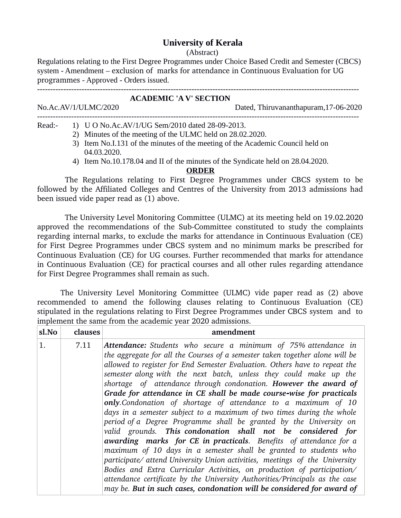# **University of Kerala**

#### (Abstract)

Regulations relating to the First Degree Programmes under Choice Based Credit and Semester (CBCS) system - Amendment – exclusion of marks for attendance in Continuous Evaluation for UG programmes - Approved - Orders issued.

---------------------------------------------------------------------------------------------------------------------------

## **ACADEMIC 'A V' SECTION**

No.Ac.AV/1/ULMC/2020 Dated, Thiruvananthapuram,17-06-2020

 $-1.1$ 

Read:- 1) U O No.Ac.AV/1/UG Sem/2010 dated 28-09-2013.

- 2) Minutes of the meeting of the ULMC held on 28.02.2020.
- 3) Item No.I.131 of the minutes of the meeting of the Academic Council held on 04.03.2020.
- 4) Item No.10.178.04 and II of the minutes of the Syndicate held on 28.04.2020.

### **ORDER**

The Regulations relating to First Degree Programmes under CBCS system to be followed by the Affiliated Colleges and Centres of the University from 2013 admissions had been issued vide paper read as (1) above.

 The University Level Monitoring Committee (ULMC) at its meeting held on 19.02.2020 approved the recommendations of the Sub-Committee constituted to study the complaints regarding internal marks, to exclude the marks for attendance in Continuous Evaluation (CE) for First Degree Programmes under CBCS system and no minimum marks be prescribed for Continuous Evaluation (CE) for UG courses. Further recommended that marks for attendance in Continuous Evaluation (CE) for practical courses and all other rules regarding attendance for First Degree Programmes shall remain as such.

The University Level Monitoring Committee (ULMC) vide paper read as (2) above recommended to amend the following clauses relating to Continuous Evaluation (CE) stipulated in the regulations relating to First Degree Programmes under CBCS system and to implement the same from the academic year 2020 admissions.

| sl.No | clauses | amendment                                                                                                                                                                                                                                                                                                                                                                                                                                                                                                                                                                                                                                                                                                                                                                                                                                                                                                                                                                                                                                                                                                                                                                                       |
|-------|---------|-------------------------------------------------------------------------------------------------------------------------------------------------------------------------------------------------------------------------------------------------------------------------------------------------------------------------------------------------------------------------------------------------------------------------------------------------------------------------------------------------------------------------------------------------------------------------------------------------------------------------------------------------------------------------------------------------------------------------------------------------------------------------------------------------------------------------------------------------------------------------------------------------------------------------------------------------------------------------------------------------------------------------------------------------------------------------------------------------------------------------------------------------------------------------------------------------|
| 1.    | 7.11    | Attendance: Students who secure a minimum of 75% attendance in<br>the aggregate for all the Courses of a semester taken together alone will be<br>allowed to register for End Semester Evaluation. Others have to repeat the<br>semester along with the next batch, unless they could make up the<br>shortage of attendance through condonation. However the award of<br>Grade for attendance in CE shall be made course-wise for practicals<br>only.Condonation of shortage of attendance to a maximum of 10<br>days in a semester subject to a maximum of two times during the whole<br>period of a Degree Programme shall be granted by the University on<br>valid grounds. This condonation shall not be considered for<br><b>awarding marks for CE in practicals.</b> Benefits of attendance for a<br>maximum of 10 days in a semester shall be granted to students who<br>participate/ attend University Union activities, meetings of the University<br>Bodies and Extra Curricular Activities, on production of participation/<br>attendance certificate by the University Authorities/Principals as the case<br>may be. But in such cases, condonation will be considered for award of |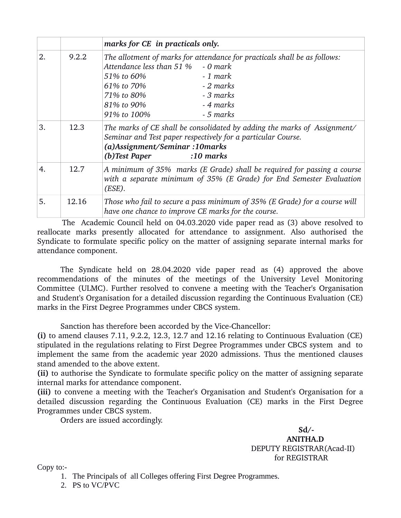|    |       | marks for CE in practicals only.                                                                                                                                                                                                                          |
|----|-------|-----------------------------------------------------------------------------------------------------------------------------------------------------------------------------------------------------------------------------------------------------------|
| 2. | 9.2.2 | The allotment of marks for attendance for practicals shall be as follows:<br>Attendance less than 51 %<br>- 0 mark<br>51% to 60%<br>- 1 mark<br>- 2 marks<br>61% to 70%<br>- 3 marks<br>71% to 80%<br>- 4 marks<br>81% to 90%<br>91% to 100%<br>- 5 marks |
| 3. | 12.3  | The marks of CE shall be consolidated by adding the marks of Assignment/<br>Seminar and Test paper respectively for a particular Course.<br>(a)Assignment/Seminar: 10 marks<br>(b)Test Paper<br>$:10$ marks                                               |
| 4. | 12.7  | A minimum of 35% marks (E Grade) shall be required for passing a course<br>with a separate minimum of 35% (E Grade) for End Semester Evaluation<br>(ESE).                                                                                                 |
| 5. | 12.16 | Those who fail to secure a pass minimum of 35% (E Grade) for a course will<br>have one chance to improve CE marks for the course.                                                                                                                         |

 The Academic Council held on 04.03.2020 vide paper read as (3) above resolved to reallocate marks presently allocated for attendance to assignment. Also authorised the Syndicate to formulate specific policy on the matter of assigning separate internal marks for attendance component.

The Syndicate held on 28.04.2020 vide paper read as (4) approved the above recommendations of the minutes of the meetings of the University Level Monitoring Committee (ULMC). Further resolved to convene a meeting with the Teacher's Organisation and Student's Organisation for a detailed discussion regarding the Continuous Evaluation (CE) marks in the First Degree Programmes under CBCS system.

Sanction has therefore been accorded by the Vice-Chancellor:

**(i)** to amend clauses 7.11, 9.2.2, 12.3, 12.7 and 12.16 relating to Continuous Evaluation (CE) stipulated in the regulations relating to First Degree Programmes under CBCS system and to implement the same from the academic year 2020 admissions. Thus the mentioned clauses stand amended to the above extent.

**(ii)** to authorise the Syndicate to formulate specific policy on the matter of assigning separate internal marks for attendance component.

**(iii)** to convene a meeting with the Teacher's Organisation and Student's Organisation for a detailed discussion regarding the Continuous Evaluation (CE) marks in the First Degree Programmes under CBCS system.

Orders are issued accordingly.

 $Sd/$  **ANITHA.D** DEPUTY REGISTRAR(Acad-II) for REGISTRAR

Copy to:-

- 1. The Principals of all Colleges offering First Degree Programmes.
- 2. PS to VC/PVC